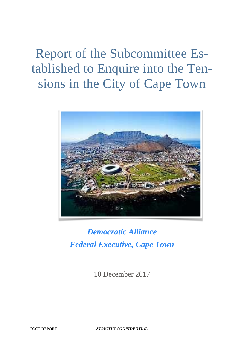# Report of the Subcommittee Established to Enquire into the Tensions in the City of Cape Town



*Democratic Alliance Federal Executive, Cape Town*

10 December 2017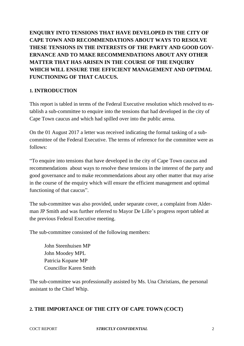**ENQUIRY INTO TENSIONS THAT HAVE DEVELOPED IN THE CITY OF CAPE TOWN AND RECOMMENDATIONS ABOUT WAYS TO RESOLVE THESE TENSIONS IN THE INTERESTS OF THE PARTY AND GOOD GOV-ERNANCE AND TO MAKE RECOMMENDATIONS ABOUT ANY OTHER MATTER THAT HAS ARISEN IN THE COURSE OF THE ENQUIRY WHICH WILL ENSURE THE EFFICIENT MANAGEMENT AND OPTIMAL FUNCTIONING OF THAT CAUCUS.**

## **1. INTRODUCTION**

This report is tabled in terms of the Federal Executive resolution which resolved to establish a sub-committee to enquire into the tensions that had developed in the city of Cape Town caucus and which had spilled over into the public arena.

On the 01 August 2017 a letter was received indicating the formal tasking of a subcommittee of the Federal Executive. The terms of reference for the committee were as follows:

"To enquire into tensions that have developed in the city of Cape Town caucus and recommendations about ways to resolve these tensions in the interest of the party and good governance and to make recommendations about any other matter that may arise in the course of the enquiry which will ensure the efficient management and optimal functioning of that caucus".

The sub-committee was also provided, under separate cover, a complaint from Alderman JP Smith and was further referred to Mayor De Lille's progress report tabled at the previous Federal Executive meeting.

The sub-committee consisted of the following members:

John Steenhuisen MP John Moodey MPL Patricia Kopane MP Councillor Karen Smith

The sub-committee was professionally assisted by Ms. Una Christians, the personal assistant to the Chief Whip.

# **2. THE IMPORTANCE OF THE CITY OF CAPE TOWN (COCT)**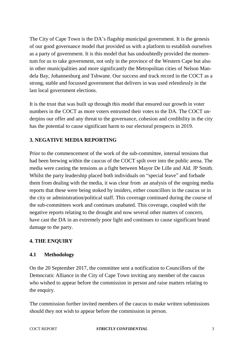The City of Cape Town is the DA's flagship municipal government. It is the genesis of our good governance model that provided us with a platform to establish ourselves as a party of government. It is this model that has undoubtedly provided the momentum for us to take government, not only in the province of the Western Cape but also in other municipalities and more significantly the Metropolitan cities of Nelson Mandela Bay, Johannesburg and Tshwane. Our success and track record in the COCT as a strong, stable and focussed government that delivers in was used relentlessly in the last local government elections.

It is the trust that was built up through this model that ensured our growth in voter numbers in the COCT as more voters entrusted their votes to the DA. The COCT underpins our offer and any threat to the governance, cohesion and credibility in the city has the potential to cause significant harm to our electoral prospects in 2019.

# **3. NEGATIVE MEDIA REPORTING**

Prior to the commencement of the work of the sub-committee, internal tensions that had been brewing within the caucus of the COCT spilt over into the public arena. The media were casting the tensions as a fight between Mayor De Lille and Ald. JP Smith. Whilst the party leadership placed both individuals on "special leave" and forbade them from dealing with the media, it was clear from an analysis of the ongoing media reports that these were being stoked by insiders, either councillors in the caucus or in the city or administration/political staff. This coverage continued during the course of the sub-committees work and continues unabated. This coverage, coupled with the negative reports relating to the drought and now several other matters of concern, have cast the DA in an extremely poor light and continues to cause significant brand damage to the party.

## **4. THE ENQUIRY**

## **4.1 Methodology**

On the 20 September 2017, the committee sent a notification to Councillors of the Democratic Alliance in the City of Cape Town inviting any member of the caucus who wished to appear before the commission in person and raise matters relating to the enquiry.

The commission further invited members of the caucus to make written submissions should they not wish to appear before the commission in person.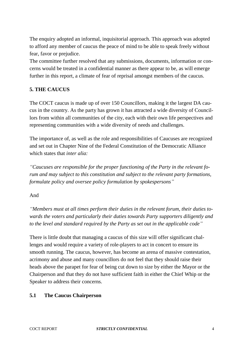The enquiry adopted an informal, inquisitorial approach. This approach was adopted to afford any member of caucus the peace of mind to be able to speak freely without fear, favor or prejudice.

The committee further resolved that any submissions, documents, information or concerns would be treated in a confidential manner as there appear to be, as will emerge further in this report, a climate of fear of reprisal amongst members of the caucus.

# **5. THE CAUCUS**

The COCT caucus is made up of over 150 Councillors, making it the largest DA caucus in the country. As the party has grown it has attracted a wide diversity of Councillors from within all communities of the city, each with their own life perspectives and representing communities with a wide diversity of needs and challenges.

The importance of, as well as the role and responsibilities of Caucuses are recognized and set out in Chapter Nine of the Federal Constitution of the Democratic Alliance which states that *inter alia:*

*"Caucuses are responsible for the proper functioning of the Party in the relevant forum and may subject to this constitution and subject to the relevant party formations, formulate policy and oversee policy formulation by spokespersons"*

## And

*"Members must at all times perform their duties in the relevant forum, their duties towards the voters and particularly their duties towards Party supporters diligently and to the level and standard required by the Party as set out in the applicable code"*

There is little doubt that managing a caucus of this size will offer significant challenges and would require a variety of role-players to act in concert to ensure its smooth running. The caucus, however, has become an arena of massive contestation, acrimony and abuse and many councillors do not feel that they should raise their heads above the parapet for fear of being cut down to size by either the Mayor or the Chairperson and that they do not have sufficient faith in either the Chief Whip or the Speaker to address their concerns.

## **5.1 The Caucus Chairperson**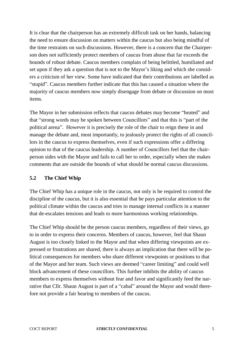It is clear that the chairperson has an extremely difficult task on her hands, balancing the need to ensure discussion on matters within the caucus but also being mindful of the time restraints on such discussions. However, there is a concern that the Chairperson does not sufficiently protect members of caucus from abuse that far exceeds the bounds of robust debate. Caucus members complain of being belittled, humiliated and set upon if they ask a question that is not to the Mayor's liking and which she considers a criticism of her view. Some have indicated that their contributions are labelled as "stupid". Caucus members further indicate that this has caused a situation where the majority of caucus members now simply disengage from debate or discussion on most items.

The Mayor in her submission reflects that caucus debates may become "heated" and that "strong words may be spoken between Councillors" and that this is "part of the political arena". However it is precisely the role of the chair to reign these in and manage the debate and, most importantly, to jealously protect the rights of all councillors in the caucus to express themselves, even if such expressions offer a differing opinion to that of the caucus leadership. A number of Councillors feel that the chairperson sides with the Mayor and fails to call her to order, especially when she makes comments that are outside the bounds of what should be normal caucus discussions.

## **5.2 The Chief Whip**

The Chief Whip has a unique role in the caucus, not only is he required to control the discipline of the caucus, but it is also essential that he pays particular attention to the political climate within the caucus and tries to manage internal conflicts in a manner that de-escalates tensions and leads to more harmonious working relationships.

The Chief Whip should be the person caucus members, regardless of their views, go to in order to express their concerns. Members of caucus, however, feel that Shaun August is too closely linked to the Mayor and that when differing viewpoints are expressed or frustrations are shared, there is always an implication that there will be political consequences for members who share different viewpoints or positions to that of the Mayor and her team. Such views are deemed "career limiting" and could well block advancement of these councillors. This further inhibits the ability of caucus members to express themselves without fear and favor and significantly feed the narrative that Cllr. Shaun August is part of a "cabal" around the Mayor and would therefore not provide a fair hearing to members of the caucus.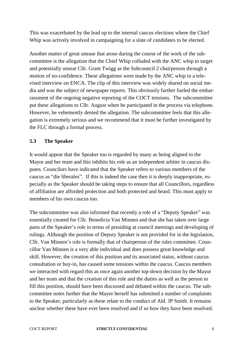This was exacerbated by the lead up to the internal caucus elections where the Chief Whip was actively involved in campaigning for a slate of candidates to be elected.

Another matter of great unease that arose during the course of the work of the subcommittee is the allegation that the Chief Whip colluded with the ANC whip to target and potentially unseat Cllr. Grant Twigg as the Subcouncil 2 chairperson through a motion of no-confidence. These allegations were made by the ANC whip in a televised interview on ENCA. The clip of this interview was widely shared on social media and was the subject of newspaper reports. This obviously further fueled the embarrassment of the ongoing negative reporting of the COCT tensions. The subcommittee put these allegations to Cllr. August when he participated in the process via telephone. However, he vehemently denied the allegation. The subcommittee feels that this allegation is extremely serious and we recommend that it must be further investigated by the FLC through a formal process.

## **5.3 The Speaker**

It would appear that the Speaker too is regarded by many as being aligned to the Mayor and her team and this inhibits his role as an independent arbiter in caucus disputes. Councilors have indicated that the Speaker refers to various members of the caucus as "die liberales". If this is indeed the case then it is deeply inappropriate, especially as the Speaker should be taking steps to ensure that all Councillors, regardless of affiliation are afforded protection and both protected and heard. This must apply to members of his own caucus too.

The subcommittee was also informed that recently a role of a "Deputy Speaker" was essentially created for Cllr. Benedicta Van Minnen and that she has taken over large parts of the Speaker's role in terms of presiding at council meetings and developing of rulings. Although the position of Deputy Speaker is not provided for in the legislation, Cllr. Van Minnen's role is formally that of chairperson of the rules committee. Councillor Van Minnen is a very able individual and does possess great knowledge and skill. However, the creation of this position and its associated status, without caucus consultation or buy-in, has caused some tensions within the caucus. Caucus members we interacted with regard this as once again another top-down decision by the Mayor and her team and that the creation of this role and the duties as well as the person to fill this position, should have been discussed and debated within the caucus. The subcommittee notes further that the Mayor herself has submitted a number of complaints to the Speaker, particularly as these relate to the conduct of Ald. JP Smith. It remains unclear whether these have ever been resolved and if so how they have been resolved.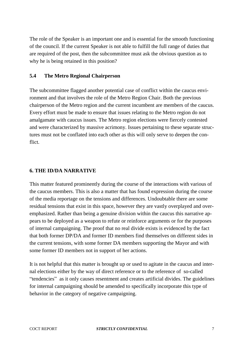The role of the Speaker is an important one and is essential for the smooth functioning of the council. If the current Speaker is not able to fulfill the full range of duties that are required of the post, then the subcommittee must ask the obvious question as to why he is being retained in this position?

## **5.4 The Metro Regional Chairperson**

The subcommittee flagged another potential case of conflict within the caucus environment and that involves the role of the Metro Region Chair. Both the previous chairperson of the Metro region and the current incumbent are members of the caucus. Every effort must be made to ensure that issues relating to the Metro region do not amalgamate with caucus issues. The Metro region elections were fiercely contested and were characterized by massive acrimony. Issues pertaining to these separate structures must not be conflated into each other as this will only serve to deepen the conflict.

#### **6. THE ID/DA NARRATIVE**

This matter featured prominently during the course of the interactions with various of the caucus members. This is also a matter that has found expression during the course of the media reportage on the tensions and differences. Undoubtable there are some residual tensions that exist in this space, however they are vastly overplayed and overemphasized. Rather than being a genuine division within the caucus this narrative appears to be deployed as a weapon to refute or reinforce arguments or for the purposes of internal campaigning. The proof that no real divide exists is evidenced by the fact that both former DP/DA and former ID members find themselves on different sides in the current tensions, with some former DA members supporting the Mayor and with some former ID members not in support of her actions.

It is not helpful that this matter is brought up or used to agitate in the caucus and internal elections either by the way of direct reference or to the reference of so-called "tendencies" as it only causes resentment and creates artificial divides. The guidelines for internal campaigning should be amended to specifically incorporate this type of behavior in the category of negative campaigning.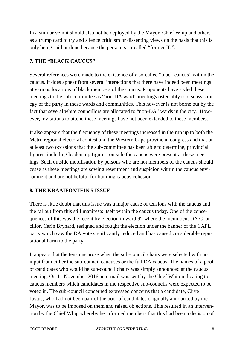In a similar vein it should also not be deployed by the Mayor, Chief Whip and others as a trump card to try and silence criticism or dissenting views on the basis that this is only being said or done because the person is so-called "former ID".

# **7. THE "BLACK CAUCUS"**

Several references were made to the existence of a so-called "black caucus" within the caucus. It does appear from several interactions that there have indeed been meetings at various locations of black members of the caucus. Proponents have styled these meetings to the sub-committee as "non-DA ward" meetings ostensibly to discuss strategy of the party in these wards and communities. This however is not borne out by the fact that several white councillors are allocated to "non-DA" wards in the city. However, invitations to attend these meetings have not been extended to these members.

It also appears that the frequency of these meetings increased in the run up to both the Metro regional electoral contest and the Western Cape provincial congress and that on at least two occasions that the sub-committee has been able to determine, provincial figures, including leadership figures, outside the caucus were present at these meetings. Such outside mobilisation by persons who are not members of the caucus should cease as these meetings are sowing resentment and suspicion within the caucus environment and are not helpful for building caucus cohesion.

# **8. THE KRAAIFONTEIN 5 ISSUE**

There is little doubt that this issue was a major cause of tensions with the caucus and the fallout from this still manifests itself within the caucus today. One of the consequences of this was the recent by-election in ward 92 where the incumbent DA Councillor, Carin Brynard, resigned and fought the election under the banner of the CAPE party which saw the DA vote significantly reduced and has caused considerable reputational harm to the party.

It appears that the tensions arose when the sub-council chairs were selected with no input from either the sub-council caucuses or the full DA caucus. The names of a pool of candidates who would be sub-council chairs was simply announced at the caucus meeting. On 11 November 2016 an e-mail was sent by the Chief Whip indicating to caucus members which candidates in the respective sub-councils were expected to be voted in. The sub-council concerned expressed concerns that a candidate, Clive Justus, who had not been part of the pool of candidates originally announced by the Mayor, was to be imposed on them and raised objections. This resulted in an intervention by the Chief Whip whereby he informed members that this had been a decision of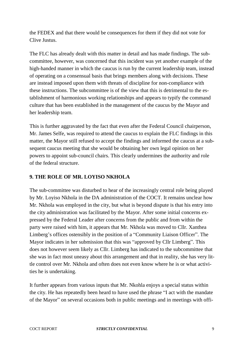the FEDEX and that there would be consequences for them if they did not vote for Clive Justus.

The FLC has already dealt with this matter in detail and has made findings. The subcommittee, however, was concerned that this incident was yet another example of the high-handed manner in which the caucus is run by the current leadership team, instead of operating on a consensual basis that brings members along with decisions. These are instead imposed upon them with threats of discipline for non-compliance with these instructions. The subcommittee is of the view that this is detrimental to the establishment of harmonious working relationships and appears to typify the command culture that has been established in the management of the caucus by the Mayor and her leadership team.

This is further aggravated by the fact that even after the Federal Council chairperson, Mr. James Selfe, was required to attend the caucus to explain the FLC findings in this matter, the Mayor still refused to accept the findings and informed the caucus at a subsequent caucus meeting that she would be obtaining her own legal opinion on her powers to appoint sub-council chairs. This clearly undermines the authority and role of the federal structure.

## **9. THE ROLE OF MR. LOYISO NKHOLA**

The sub-committee was disturbed to hear of the increasingly central role being played by Mr. Loyiso Nkhola in the DA administration of the COCT. It remains unclear how Mr. Nkhola was employed in the city, but what is beyond dispute is that his entry into the city administration was facilitated by the Mayor. After some initial concerns expressed by the Federal Leader after concerns from the public and from within the party were raised with him, it appears that Mr. Nkhola was moved to Cllr. Xanthea Limberg's offices ostensibly in the position of a "Community Liaison Officer". The Mayor indicates in her submission that this was "approved by Cllr Limberg". This does not however seem likely as Cllr. Limberg has indicated to the subcommittee that she was in fact most uneasy about this arrangement and that in reality, she has very little control over Mr. Nkhola and often does not even know where he is or what activities he is undertaking.

It further appears from various inputs that Mr. Nkohla enjoys a special status within the city. He has repeatedly been heard to have used the phrase "I act with the mandate of the Mayor" on several occasions both in public meetings and in meetings with offi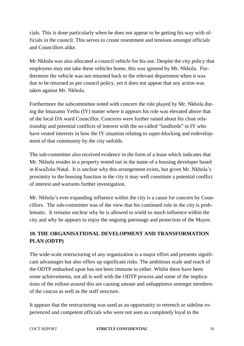cials. This is done particularly when he does not appear to be getting his way with officials in the council. This serves to create resentment and tensions amongst officials and Councillors alike.

Mr Nkhola was also allocated a council vehicle for his use. Despite the city policy that employees may not take these vehicles home, this was ignored by Mr. Nkhola. Furthermore the vehicle was not returned back to the relevant department when it was due to be returned as per council policy, yet it does not appear that any action was taken against Mr. Nkhola.

Furthermore the subcommittee noted with concern the role played by Mr. Nkhola during the Imazamo Yethu (IY) matter where it appears his role was elevated above that of the local DA ward Councillor. Concerns were further raised about his close relationship and potential conflicts of interest with the so-called "landlords" in IY who have vested interests in how the IY situation relating to super-blocking and redevelopment of that community by the city unfolds.

The sub-committee also received evidence in the form of a lease which indicates that Mr. Nkhola resides in a property rented out in the name of a housing developer based in KwaZulu-Natal. It is unclear why this arrangement exists, but given Mr. Nkhola's proximity to the housing function in the city it may well constitute a potential conflict of interest and warrants further investigation.

Mr. Nkhola's ever expanding influence within the city is a cause for concern by Councillors. The sub-committee was of the view that his continued role in the city is problematic. It remains unclear why he is allowed to wield so much influence within the city and why he appears to enjoy the ongoing patronage and protection of the Mayor.

# **10. THE ORGANISATIONAL DEVELOPMENT AND TRANSFORMATION PLAN (ODTP)**

The wide-scale restructuring of any organization is a major effort and presents significant advantages but also offers up significant risks. The ambitious scale and reach of the ODTP embarked upon has not been immune to either. Whilst there have been some achievements, not all is well with the ODTP process and some of the implications of the rollout around this are causing unease and unhappiness amongst members of the caucus as well as the staff structure.

It appears that the restructuring was used as an opportunity to retrench or sideline experienced and competent officials who were not seen as completely loyal to the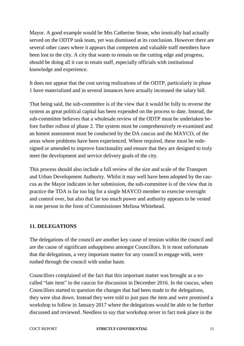Mayor. A good example would be Mrs Catherine Stone, who ironically had actually served on the ODTP task team, yet was dismissed at its conclusion. However there are several other cases where it appears that competent and valuable staff members have been lost to the city. A city that wants to remain on the cutting edge and progress, should be doing all it can to retain staff, especially officials with institutional knowledge and experience.

It does not appear that the cost saving realizations of the ODTP, particularly in phase 1 have materialized and in several instances have actually increased the salary bill.

That being said, the sub-committee is of the view that it would be folly to reverse the system as great political capital has been expended on the process to date. Instead, the sub-committee believes that a wholesale review of the ODTP must be undertaken before further rollout of phase 2. The system must be comprehensively re-examined and an honest assessment must be conducted by the DA caucus and the MAYCO, of the areas where problems have been experienced. Where required, these must be redesigned or amended to improve functionality and ensure that they are designed to truly meet the development and service delivery goals of the city.

This process should also include a full review of the size and scale of the Transport and Urban Development Authority. Whilst it may well have been adopted by the caucus as the Mayor indicates in her submission, the sub-committee is of the view that in practice the TDA is far too big for a single MAYCO member to exercise oversight and control over, but also that far too much power and authority appears to be vested in one person in the form of Commissioner Melissa Whitehead.

## **11. DELEGATIONS**

The delegations of the council are another key cause of tension within the council and are the cause of significant unhappiness amongst Councillors. It is most unfortunate that the delegations, a very important matter for any council to engage with, were rushed through the council with undue haste.

Councillors complained of the fact that this important matter was brought as a socalled "late item" to the caucus for discussion in December 2016. In the caucus, when Councillors started to question the changes that had been made to the delegations, they were shut down. Instead they were told to just pass the item and were promised a workshop to follow in January 2017 where the delegations would be able to be further discussed and reviewed. Needless to say that workshop never in fact took place in the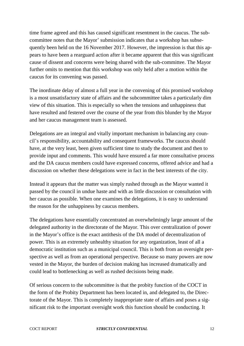time frame agreed and this has caused significant resentment in the caucus. The subcommittee notes that the Mayor' submission indicates that a workshop has subsequently been held on the 16 November 2017. However, the impression is that this appears to have been a rearguard action after it became apparent that this was significant cause of dissent and concerns were being shared with the sub-committee. The Mayor further omits to mention that this workshop was only held after a motion within the caucus for its convening was passed.

The inordinate delay of almost a full year in the convening of this promised workshop is a most unsatisfactory state of affairs and the subcommittee takes a particularly dim view of this situation. This is especially so when the tensions and unhappiness that have resulted and festered over the course of the year from this blunder by the Mayor and her caucus management team is assessed.

Delegations are an integral and vitally important mechanism in balancing any council's responsibility, accountability and consequent frameworks. The caucus should have, at the very least, been given sufficient time to study the document and then to provide input and comments. This would have ensured a far more consultative process and the DA caucus members could have expressed concerns, offered advice and had a discussion on whether these delegations were in fact in the best interests of the city.

Instead it appears that the matter was simply rushed through as the Mayor wanted it passed by the council in undue haste and with as little discussion or consultation with her caucus as possible. When one examines the delegations, it is easy to understand the reason for the unhappiness by caucus members.

The delegations have essentially concentrated an overwhelmingly large amount of the delegated authority in the directorate of the Mayor. This over centralization of power in the Mayor's office is the exact antithesis of the DA model of decentralization of power. This is an extremely unhealthy situation for any organization, least of all a democratic institution such as a municipal council. This is both from an oversight perspective as well as from an operational perspective. Because so many powers are now vested in the Mayor, the burden of decision making has increased dramatically and could lead to bottlenecking as well as rushed decisions being made.

Of serious concern to the subcommittee is that the probity function of the COCT in the form of the Probity Department has been located in, and delegated to, the Directorate of the Mayor. This is completely inappropriate state of affairs and poses a significant risk to the important oversight work this function should be conducting. It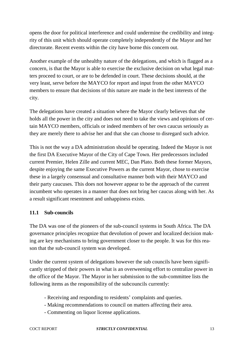opens the door for political interference and could undermine the credibility and integrity of this unit which should operate completely independently of the Mayor and her directorate. Recent events within the city have borne this concern out.

Another example of the unhealthy nature of the delegations, and which is flagged as a concern, is that the Mayor is able to exercise the exclusive decision on what legal matters proceed to court, or are to be defended in court. These decisions should, at the very least, serve before the MAYCO for report and input from the other MAYCO members to ensure that decisions of this nature are made in the best interests of the city.

The delegations have created a situation where the Mayor clearly believes that she holds all the power in the city and does not need to take the views and opinions of certain MAYCO members, officials or indeed members of her own caucus seriously as they are merely there to advise her and that she can choose to disregard such advice.

This is not the way a DA administration should be operating. Indeed the Mayor is not the first DA Executive Mayor of the City of Cape Town. Her predecessors included current Premier, Helen Zille and current MEC, Dan Plato. Both these former Mayors, despite enjoying the same Executive Powers as the current Mayor, chose to exercise these in a largely consensual and consultative manner both with their MAYCO and their party caucuses. This does not however appear to be the approach of the current incumbent who operates in a manner that does not bring her caucus along with her. As a result significant resentment and unhappiness exists.

# **11.1 Sub-councils**

The DA was one of the pioneers of the sub-council systems in South Africa. The DA governance principles recognize that devolution of power and localized decision making are key mechanisms to bring government closer to the people. It was for this reason that the sub-council system was developed.

Under the current system of delegations however the sub councils have been significantly stripped of their powers in what is an overweening effort to centralize power in the office of the Mayor. The Mayor in her submission to the sub-committee lists the following items as the responsibility of the subcouncils currently:

- Receiving and responding to residents' complaints and queries.
- Making recommendations to council on matters affecting their area.
- Commenting on liquor license applications.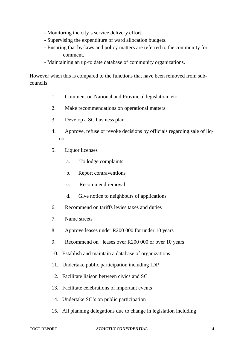- Monitoring the city's service delivery effort.
- Supervising the expenditure of ward allocation budgets.
- Ensuring that by-laws and policy matters are referred to the community for comment.
- Maintaining an up-to date database of community organizations.

However when this is compared to the functions that have been removed from subcouncils:

- 1. Comment on National and Provincial legislation, etc
- 2. Make recommendations on operational matters
- 3. Develop a SC business plan
- 4. Approve, refuse or revoke decisions by officials regarding sale of liquor
- 5. Liquor licenses
	- a. To lodge complaints
	- b. Report contraventions
	- c. Recommend removal
	- d. Give notice to neighbours of applications
- 6. Recommend on tariffs levies taxes and duties
- 7. Name streets
- 8. Approve leases under R200 000 for under 10 years
- 9. Recommend on leases over R200 000 or over 10 years
- 10. Establish and maintain a database of organizations
- 11. Undertake public participation including IDP
- 12. Facilitate liaison between civics and SC
- 13. Facilitate celebrations of important events
- 14. Undertake SC's on public participation
- 15. All planning delegations due to change in legislation including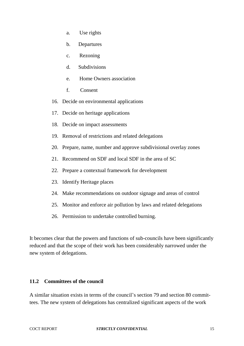- a. Use rights
- b. Departures
- c. Rezoning
- d. Subdivisions
- e. Home Owners association
- f. Consent
- 16. Decide on environmental applications
- 17. Decide on heritage applications
- 18. Decide on impact assessments
- 19. Removal of restrictions and related delegations
- 20. Prepare, name, number and approve subdivisional overlay zones
- 21. Recommend on SDF and local SDF in the area of SC
- 22. Prepare a contextual framework for development
- 23. Identify Heritage places
- 24. Make recommendations on outdoor signage and areas of control
- 25. Monitor and enforce air pollution by laws and related delegations
- 26. Permission to undertake controlled burning.

It becomes clear that the powers and functions of sub-councils have been significantly reduced and that the scope of their work has been considerably narrowed under the new system of delegations.

#### **11.2 Committees of the council**

A similar situation exists in terms of the council's section 79 and section 80 committees. The new system of delegations has centralized significant aspects of the work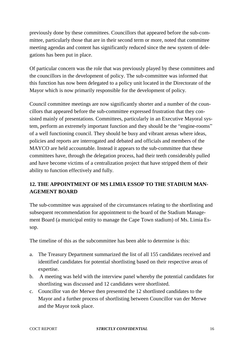previously done by these committees. Councillors that appeared before the sub-committee, particularly those that are in their second term or more, noted that committee meeting agendas and content has significantly reduced since the new system of delegations has been put in place.

Of particular concern was the role that was previously played by these committees and the councillors in the development of policy. The sub-committee was informed that this function has now been delegated to a policy unit located in the Directorate of the Mayor which is now primarily responsible for the development of policy.

Council committee meetings are now significantly shorter and a number of the councillors that appeared before the sub-committee expressed frustration that they consisted mainly of presentations. Committees, particularly in an Executive Mayoral system, perform an extremely important function and they should be the "engine-rooms" of a well functioning council. They should be busy and vibrant arenas where ideas, policies and reports are interrogated and debated and officials and members of the MAYCO are held accountable. Instead it appears to the sub-committee that these committees have, through the delegation process, had their teeth considerably pulled and have become victims of a centralization project that have stripped them of their ability to function effectively and fully.

# **12. THE APPOINTMENT OF MS LIMIA ESSOP TO THE STADIUM MAN-AGEMENT BOARD**

The sub-committee was appraised of the circumstances relating to the shortlisting and subsequent recommendation for appointment to the board of the Stadium Management Board (a municipal entity to manage the Cape Town stadium) of Ms. Limia Essop.

The timeline of this as the subcommittee has been able to determine is this:

- a. The Treasury Department summarized the list of all 155 candidates received and identified candidates for potential shortlisting based on their respective areas of expertise.
- b. A meeting was held with the interview panel whereby the potential candidates for shortlisting was discussed and 12 candidates were shortlisted.
- c. Councillor van der Merwe then presented the 12 shortlisted candidates to the Mayor and a further process of shortlisting between Councillor van der Merwe and the Mayor took place.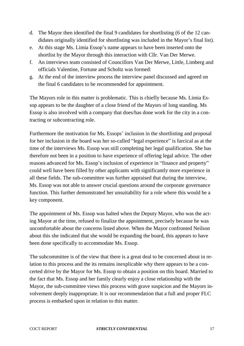- d. The Mayor then identified the final 9 candidates for shortlisting (6 of the 12 candidates originally identified for shortlisting was included in the Mayor's final list).
- e. At this stage Ms. Limia Essop's name appears to have been inserted onto the shortlist by the Mayor through this interaction with Cllr. Van Der Merwe.
- f. An interviews team consisted of Councillors Van Der Merwe, Little, Limberg and officials Valentine, Fortune and Scholtz was formed:
- g. At the end of the interview process the interview panel discussed and agreed on the final 6 candidates to be recommended for appointment.

The Mayors role in this matter is problematic. This is chiefly because Ms. Limia Essop appears to be the daughter of a close friend of the Mayors of long standing. Ms Essop is also involved with a company that does/has done work for the city in a contracting or subcontracting role.

Furthermore the motivation for Ms. Essops' inclusion in the shortlisting and proposal for her inclusion in the board was her so-called "legal experience" is farcical as at the time of the interviews Ms. Essop was still completing her legal qualification. She has therefore not been in a position to have experience of offering legal advice. The other reasons advanced for Ms. Essop's inclusion of experience in "finance and property" could well have been filled by other applicants with significantly more experience in all these fields. The sub-committee was further appraised that during the interview, Ms. Essop was not able to answer crucial questions around the corporate governance function. This further demonstrated her unsuitability for a role where this would be a key component.

The appointment of Ms. Essop was halted when the Deputy Mayor, who was the acting Mayor at the time, refused to finalize the appointment, precisely because he was uncomfortable about the concerns listed above. When the Mayor confronted Neilson about this she indicated that she would be expanding the board, this appears to have been done specifically to accommodate Ms. Essop.

The subcommittee is of the view that there is a great deal to be concerned about in relation to this process and the its remains inexplicable why there appears to be a concerted drive by the Mayor for Ms. Essop to obtain a position on this board. Married to the fact that Ms. Essop and her family clearly enjoy a close relationship with the Mayor, the sub-committee views this process with grave suspicion and the Mayors involvement deeply inappropriate. It is our recommendation that a full and proper FLC process is embarked upon in relation to this matter.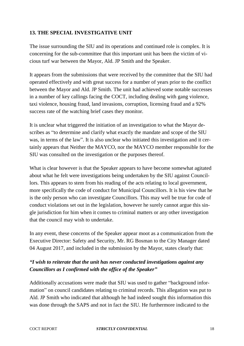# **13. THE SPECIAL INVESTIGATIVE UNIT**

The issue surrounding the SIU and its operations and continued role is complex. It is concerning for the sub-committee that this important unit has been the victim of vicious turf war between the Mayor, Ald. JP Smith and the Speaker.

It appears from the submissions that were received by the committee that the SIU had operated effectively and with great success for a number of years prior to the conflict between the Mayor and Ald. JP Smith. The unit had achieved some notable successes in a number of key callings facing the COCT, including dealing with gang violence, taxi violence, housing fraud, land invasions, corruption, licensing fraud and a 92% success rate of the watching brief cases they monitor.

It is unclear what triggered the initiation of an investigation to what the Mayor describes as "to determine and clarify what exactly the mandate and scope of the SIU was, in terms of the law". It is also unclear who initiated this investigation and it certainly appears that Neither the MAYCO, nor the MAYCO member responsible for the SIU was consulted on the investigation or the purposes thereof.

What is clear however is that the Speaker appears to have become somewhat agitated about what he felt were investigations being undertaken by the SIU against Councillors. This appears to stem from his reading of the acts relating to local government, more specifically the code of conduct for Municipal Councillors. It is his view that he is the only person who can investigate Councillors. This may well be true for code of conduct violations set out in the legislation, however he surely cannot argue this single jurisdiction for him when it comes to criminal matters or any other investigation that the council may wish to undertake.

In any event, these concerns of the Speaker appear moot as a communication from the Executive Director: Safety and Security, Mr. RG Bosman to the City Manager dated 04 August 2017, and included in the submission by the Mayor, states clearly that:

# *"I wish to reiterate that the unit has never conducted investigations against any Councillors as I confirmed with the office of the Speaker"*

Additionally accusations were made that SIU was used to gather "background information" on council candidates relating to criminal records. This allegation was put to Ald. JP Smith who indicated that although he had indeed sought this information this was done through the SAPS and not in fact the SIU. He furthermore indicated to the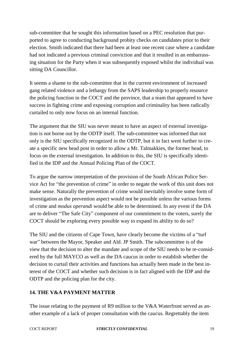sub-committee that he sought this information based on a PEC resolution that purported to agree to conducting background probity checks on candidates prior to their election. Smith indicated that there had been at least one recent case where a candidate had not indicated a previous criminal conviction and that it resulted in an embarrassing situation for the Party when it was subsequently exposed whilst the individual was sitting DA Councillor.

It seems a shame to the sub-committee that in the current environment of increased gang related violence and a lethargy from the SAPS leadership to properly resource the policing function in the COCT and the province, that a team that appeared to have success in fighting crime and exposing corruption and criminality has been radically curtailed to only now focus on an internal function.

The argument that the SIU was never meant to have an aspect of external investigation is not borne out by the ODTP itself. The sub-committee was informed that not only is the SIU specifically recognized in the ODTP, but it in fact went further to create a specific new head post in order to allow a Mr. Talmakkies, the former head, to focus on the external investigation. In addition to this, the SIU is specifically identified in the IDP and the Annual Policing Plan of the COCT.

To argue the narrow interpretation of the provision of the South African Police Service Act for "the prevention of crime" in order to negate the work of this unit does not make sense. Naturally the prevention of crime would inevitably involve some form of investigation as the prevention aspect would not be possible unless the various forms of crime and *modus operandi* would be able to be determined. In any event if the DA are to deliver "The Safe City" component of our commitment to the voters, surely the COCT should be exploring every possible way to expand its ability to do so?

The SIU and the citizens of Cape Town, have clearly become the victims of a "turf war" between the Mayor, Speaker and Ald. JP Smith. The subcommittee is of the view that the decision to alter the mandate and scope of the SIU needs to be re-considered by the full MAYCO as well as the DA caucus in order to establish whether the decision to curtail their activities and functions has actually been made in the best interest of the COCT and whether such decision is in fact aligned with the IDP and the ODTP and the policing plan for the city.

# **14. THE V&A PAYMENT MATTER**

The issue relating to the payment of R9 million to the V&A Waterfront served as another example of a lack of proper consultation with the caucus. Regrettably the item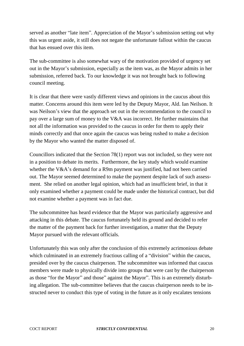served as another "late item". Appreciation of the Mayor's submission setting out why this was urgent aside, it still does not negate the unfortunate fallout within the caucus that has ensued over this item.

The sub-committee is also somewhat wary of the motivation provided of urgency set out in the Mayor's submission, especially as the item was, as the Mayor admits in her submission, referred back. To our knowledge it was not brought back to following council meeting.

It is clear that there were vastly different views and opinions in the caucus about this matter. Concerns around this item were led by the Deputy Mayor, Ald. Ian Neilson. It was Neilson's view that the approach set out in the recommendation to the council to pay over a large sum of money to the V&A was incorrect. He further maintains that not all the information was provided to the caucus in order for them to apply their minds correctly and that once again the caucus was being rushed to make a decision by the Mayor who wanted the matter disposed of.

Councillors indicated that the Section 78(1) report was not included, so they were not in a position to debate its merits. Furthermore, the key study which would examine whether the V&A's demand for a R9m payment was justified, had not been carried out. The Mayor seemed determined to make the payment despite lack of such assessment. She relied on another legal opinion, which had an insufficient brief, in that it only examined whether a payment could be made under the historical contract, but did not examine whether a payment was in fact due.

The subcommittee has heard evidence that the Mayor was particularly aggressive and attacking in this debate. The caucus fortunately held its ground and decided to refer the matter of the payment back for further investigation, a matter that the Deputy Mayor pursued with the relevant officials.

Unfortunately this was only after the conclusion of this extremely acrimonious debate which culminated in an extremely fractious calling of a "division" within the caucus, presided over by the caucus chairperson. The subcommittee was informed that caucus members were made to physically divide into groups that were cast by the chairperson as those "for the Mayor" and those" against the Mayor". This is an extremely disturbing allegation. The sub-committee believes that the caucus chairperson needs to be instructed never to conduct this type of voting in the future as it only escalates tensions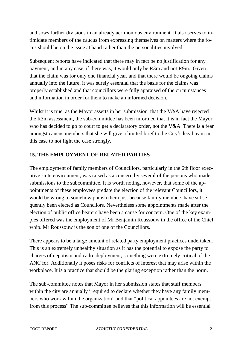and sows further divisions in an already acrimonious environment. It also serves to intimidate members of the caucus from expressing themselves on matters where the focus should be on the issue at hand rather than the personalities involved.

Subsequent reports have indicated that there may in fact be no justification for any payment, and in any case, if there was, it would only be R3m and not R9m. Given that the claim was for only one financial year, and that there would be ongoing claims annually into the future, it was surely essential that the basis for the claims was properly established and that councillors were fully appraised of the circumstances and information in order for them to make an informed decision.

Whilst it is true, as the Mayor asserts in her submission, that the V&A have rejected the R3m assessment, the sub-committee has been informed that it is in fact the Mayor who has decided to go to court to get a declaratory order, not the V&A. There is a fear amongst caucus members that she will give a limited brief to the City's legal team in this case to not fight the case strongly.

# **15. THE EMPLOYMENT OF RELATED PARTIES**

The employment of family members of Councillors, particularly in the 6th floor executive suite environment, was raised as a concern by several of the persons who made submissions to the subcommittee. It is worth noting, however, that some of the appointments of these employees predate the election of the relevant Councillors, it would be wrong to somehow punish them just because family members have subsequently been elected as Councilors. Nevertheless some appointments made after the election of public office bearers have been a cause for concern. One of the key examples offered was the employment of Mr Benjamin Roussouw in the office of the Chief whip. Mr Roussouw is the son of one of the Councillors.

There appears to be a large amount of related party employment practices undertaken. This is an extremely unhealthy situation as it has the potential to expose the party to charges of nepotism and cadre deployment, something were extremely critical of the ANC for. Additionally it poses risks for conflicts of interest that may arise within the workplace. It is a practice that should be the glaring exception rather than the norm.

The sub-committee notes that Mayor in her submission states that staff members within the city are annually "required to declare whether they have any family members who work within the organization" and that "political appointees are not exempt from this process" The sub-committee believes that this information will be essential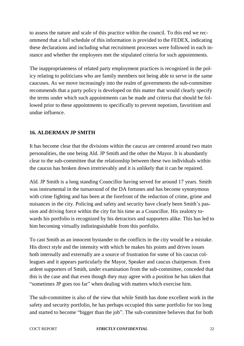to assess the nature and scale of this practice within the council. To this end we recommend that a full schedule of this information is provided to the FEDEX, indicating these declarations and including what recruitment processes were followed in each instance and whether the employees met the stipulated criteria for such appointments.

The inappropriateness of related party employment practices is recognized in the policy relating to politicians who are family members not being able to serve in the same caucuses. As we move increasingly into the realm of governments the sub-committee recommends that a party policy is developed on this matter that would clearly specify the terms under which such appointments can be made and criteria that should be followed prior to these appointments to specifically to prevent nepotism, favoritism and undue influence.

# **16. ALDERMAN JP SMITH**

It has become clear that the divisions within the caucus are centered around two main personalities, the one being Ald. JP Smith and the other the Mayor. It is abundantly clear to the sub-committee that the relationship between these two individuals within the caucus has broken down irretrievably and it is unlikely that it can be repaired.

Ald. JP Smith is a long standing Councillor having served for around 17 years. Smith was instrumental in the turnaround of the DA fortunes and has become synonymous with crime fighting and has been at the forefront of the reduction of crime, grime and nuisances in the city. Policing and safety and security have clearly been Smith's passion and driving force within the city for his time as a Councillor. His zealotry towards his portfolio is recognized by his detractors and supporters alike. This has led to him becoming virtually indistinguishable from this portfolio.

To cast Smith as an innocent bystander to the conflicts in the city would be a mistake. His direct style and the intensity with which he makes his points and drives issues both internally and externally are a source of frustration for some of his caucus colleagues and it appears particularly the Mayor, Speaker and caucus chairperson. Even ardent supporters of Smith, under examination from the sub-committee, conceded that this is the case and that even though they may agree with a position he has taken that "sometimes JP goes too far" when dealing with matters which exercise him.

The sub-committee is also of the view that while Smith has done excellent work in the safety and security portfolio, he has perhaps occupied this same portfolio for too long and started to become "bigger than the job". The sub-committee believes that for both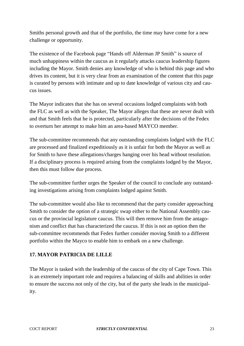Smiths personal growth and that of the portfolio, the time may have come for a new challenge or opportunity.

The existence of the Facebook page "Hands off Alderman JP Smith" is source of much unhappiness within the caucus as it regularly attacks caucus leadership figures including the Mayor. Smith denies any knowledge of who is behind this page and who drives its content, but it is very clear from an examination of the content that this page is curated by persons with intimate and up to date knowledge of various city and caucus issues.

The Mayor indicates that she has on several occasions lodged complaints with both the FLC as well as with the Speaker, The Mayor alleges that these are never dealt with and that Smith feels that he is protected, particularly after the decisions of the Fedex to overturn her attempt to make him an area-based MAYCO member.

The sub-committee recommends that any outstanding complaints lodged with the FLC are processed and finalized expeditiously as it is unfair for both the Mayor as well as for Smith to have these allegations/charges hanging over his head without resolution. If a disciplinary process is required arising from the complaints lodged by the Mayor, then this must follow due process.

The sub-committee further urges the Speaker of the council to conclude any outstanding investigations arising from complaints lodged against Smith.

The sub-committee would also like to recommend that the party consider approaching Smith to consider the option of a strategic swap either to the National Assembly caucus or the provincial legislature caucus. This will then remove him from the antagonism and conflict that has characterized the caucus. If this is not an option then the sub-committee recommends that Fedex further consider moving Smith to a different portfolio within the Mayco to enable him to embark on a new challenge.

# **17. MAYOR PATRICIA DE LILLE**

The Mayor is tasked with the leadership of the caucus of the city of Cape Town. This is an extremely important role and requires a balancing of skills and abilities in order to ensure the success not only of the city, but of the party she leads in the municipality.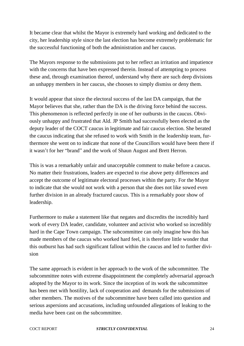It became clear that whilst the Mayor is extremely hard working and dedicated to the city, her leadership style since the last election has become extremely problematic for the successful functioning of both the administration and her caucus.

The Mayors response to the submissions put to her reflect an irritation and impatience with the concerns that have ben expressed therein. Instead of attempting to process these and, through examination thereof, understand why there are such deep divisions an unhappy members in her caucus, she chooses to simply dismiss or deny them.

It would appear that since the electoral success of the last DA campaign, that the Mayor believes that she, rather than the DA is the driving force behind the success. This phenomenon is reflected perfectly in one of her outbursts in the caucus. Obviously unhappy and frustrated that Ald. JP Smith had successfully been elected as the deputy leader of the COCT caucus in legitimate and fair caucus election. She berated the caucus indicating that she refused to work with Smith in the leadership team, furthermore she went on to indicate that none of the Councillors would have been there if it wasn't for her "brand" and the work of Shaun August and Brett Herron.

This is was a remarkably unfair and unacceptable comment to make before a caucus. No matter their frustrations, leaders are expected to rise above petty differences and accept the outcome of legitimate electoral processes within the party. For the Mayor to indicate that she would not work with a person that she does not like sowed even further division in an already fractured caucus. This is a remarkably poor show of leadership.

Furthermore to make a statement like that negates and discredits the incredibly hard work of every DA leader, candidate, volunteer and activist who worked so incredibly hard in the Cape Town campaign. The subcommittee can only imagine how this has made members of the caucus who worked hard feel, it is therefore little wonder that this outburst has had such significant fallout within the caucus and led to further division

The same approach is evident in her approach to the work of the subcommittee. The subcommittee notes with extreme disappointment the completely adversarial approach adopted by the Mayor to its work. Since the inception of its work the subcommittee has been met with hostility, lack of cooperation and demands for the submissions of other members. The motives of the subcommittee have been called into question and serious aspersions and accusations, including unfounded allegations of leaking to the media have been cast on the subcommittee.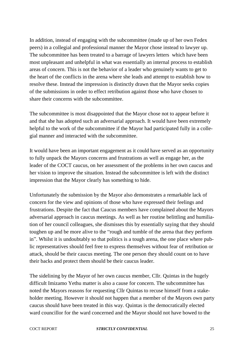In addition, instead of engaging with the subcommittee (made up of her own Fedex peers) in a collegial and professional manner the Mayor chose instead to lawyer up. The subcommittee has been treated to a barrage of lawyers letters which have been most unpleasant and unhelpful in what was essentially an internal process to establish areas of concern. This is not the behavior of a leader who genuinely wants to get to the heart of the conflicts in the arena where she leads and attempt to establish how to resolve these. Instead the impression is distinctly drawn that the Mayor seeks copies of the submissions in order to effect retribution against those who have chosen to share their concerns with the subcommittee.

The subcommittee is most disappointed that the Mayor chose not to appear before it and that she has adopted such an adversarial approach. It would have been extremely helpful to the work of the subcommittee if the Mayor had participated fully in a collegial manner and interacted with the subcommittee.

It would have been an important engagement as it could have served as an opportunity to fully unpack the Mayors concerns and frustrations as well as engage her, as the leader of the COCT caucus, on her assessment of the problems in her own caucus and her vision to improve the situation. Instead the subcommittee is left with the distinct impression that the Mayor clearly has something to hide.

Unfortunately the submission by the Mayor also demonstrates a remarkable lack of concern for the view and opinions of those who have expressed their feelings and frustrations. Despite the fact that Caucus members have complained about the Mayors adversarial approach in caucus meetings. As well as her routine belittling and humiliation of her council colleagues, she dismisses this by essentially saying that they should toughen up and be more alive to the "rough and tumble of the arena that they perform in". Whilst it is undoubtably so that politics is a tough arena, the one place where public representatives should feel free to express themselves without fear of retribution or attack, should be their caucus meeting. The one person they should count on to have their backs and protect them should be their caucus leader.

The sidelining by the Mayor of her own caucus member, Cllr. Quintas in the hugely difficult Imizamo Yethu matter is also a cause for concern. The subcommittee has noted the Mayors reasons for requesting Cllr Quintas to recuse himself from a stakeholder meeting. However it should not happen that a member of the Mayors own party caucus should have been treated in this way. Quintas is the democratically elected ward councillor for the ward concerned and the Mayor should not have bowed to the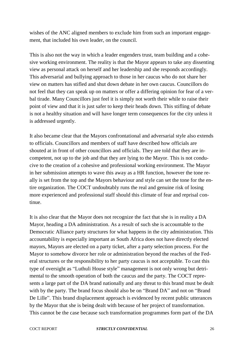wishes of the ANC aligned members to exclude him from such an important engagement, that included his own leader, on the council.

This is also not the way in which a leader engenders trust, team building and a cohesive working environment. The reality is that the Mayor appears to take any dissenting view as personal attack on herself and her leadership and she responds accordingly. This adversarial and bullying approach to those in her caucus who do not share her view on matters has stifled and shut down debate in her own caucus. Councillors do not feel that they can speak up on matters or offer a differing opinion for fear of a verbal tirade. Many Councillors just feel it is simply not worth their while to raise their point of view and that it is just safer to keep their heads down. This stifling of debate is not a healthy situation and will have longer term consequences for the city unless it is addressed urgently.

It also became clear that the Mayors confrontational and adversarial style also extends to officials. Councillors and members of staff have described how officials are shouted at in front of other councillors and officials. They are told that they are incompetent, not up to the job and that they are lying to the Mayor. This is not conducive to the creation of a cohesive and professional working environment. The Mayor in her submission attempts to wave this away as a HR function, however the tone really is set from the top and the Mayors behaviour and style can set the tone for the entire organization. The COCT undoubtably runs the real and genuine risk of losing more experienced and professional staff should this climate of fear and reprisal continue.

It is also clear that the Mayor does not recognize the fact that she is in reality a DA Mayor, heading a DA administration. As a result of such she is accountable to the Democratic Alliance party structures for what happens in the city administration. This accountability is especially important as South Africa does not have directly elected mayors, Mayors are elected on a party ticket, after a party selection process. For the Mayor to somehow divorce her role or administration beyond the reaches of the Federal structures or the responsibility to her party caucus is not acceptable. To cast this type of oversight as "Luthuli House style" management is not only wrong but detrimental to the smooth operation of both the caucus and the party. The COCT represents a large part of the DA brand nationally and any threat to this brand must be dealt with by the party. The brand focus should also be on "Brand DA" and not on "Brand De Lille". This brand displacement approach is evidenced by recent public utterances by the Mayor that she is being dealt with because of her project of transformation. This cannot be the case because such transformation programmes form part of the DA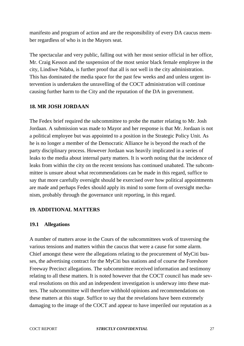manifesto and program of action and are the responsibility of every DA caucus member regardless of who is in the Mayors seat.

The spectacular and very public, falling out with her most senior official in her office, Mr. Craig Kesson and the suspension of the most senior black female employee in the city, Lindiwe Ndaba, is further proof that all is not well in the city administration. This has dominated the media space for the past few weeks and and unless urgent intervention is undertaken the unravelling of the COCT administration will continue causing further harm to the City and the reputation of the DA in government.

#### **18. MR JOSH JORDAAN**

The Fedex brief required the subcommittee to probe the matter relating to Mr. Josh Jordaan. A submission was made to Mayor and her response is that Mr. Jordaan is not a political employee but was appointed to a position in the Strategic Policy Unit. As he is no longer a member of the Democratic Alliance he is beyond the reach of the party disciplinary process. However Jordaan was heavily implicated in a series of leaks to the media about internal party matters. It is worth noting that the incidence of leaks from within the city on the recent tensions has continued unabated. The subcommittee is unsure about what recommendations can be made in this regard, suffice to say that more carefully oversight should be exercised over how political appointments are made and perhaps Fedex should apply its mind to some form of oversight mechanism, probably through the governance unit reporting, in this regard.

## **19. ADDITIONAL MATTERS**

## **19.1 Allegations**

A number of matters arose in the Cours of the subcommittees work of traversing the various tensions and matters within the caucus that were a cause for some alarm. Chief amongst these were the allegations relating to the procurement of MyCiti busses, the advertising contract for the MyCiti bus stations and of course the Foreshore Freeway Precinct allegations. The subcommittee received information and testimony relating to all these matters. It is noted however that the COCT council has made several resolutions on this and an independent investigation is underway into these matters. The subcommittee will therefore withhold opinions and recommendations on these matters at this stage. Suffice to say that the revelations have been extremely damaging to the image of the COCT and appear to have imperiled our reputation as a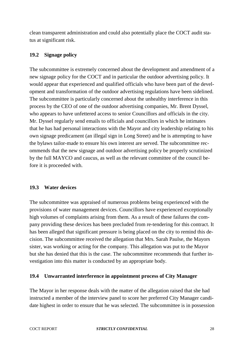clean transparent administration and could also potentially place the COCT audit status at significant risk.

# **19.2 Signage policy**

The subcommittee is extremely concerned about the development and amendment of a new signage policy for the COCT and in particular the outdoor advertising policy. It would appear that experienced and qualified officials who have been part of the development and transformation of the outdoor advertising regulations have been sidelined. The subcommittee is particularly concerned about the unhealthy interference in this process by the CEO of one of the outdoor advertising companies, Mr. Brent Dyssel, who appears to have unfettered access to senior Councillors and officials in the city. Mr. Dyssel regularly send emails to officials and councillors in which he intimates that he has had personal interactions with the Mayor and city leadership relating to his own signage predicament (an illegal sign in Long Street) and he is attempting to have the bylaws tailor-made to ensure his own interest are served. The subcommittee recommends that the new signage and outdoor advertising policy be properly scrutinized by the full MAYCO and caucus, as well as the relevant committee of the council before it is proceeded with.

## **19.3 Water devices**

The subcommittee was appraised of numerous problems being experienced with the provisions of water management devices. Councillors have experienced exceptionally high volumes of complaints arising from them. As a result of these failures the company providing these devices has been precluded from re-tendering for this contract. It has been alleged that significant pressure is being placed on the city to remind this decision. The subcommittee received the allegation that Mrs. Sarah Paulse, the Mayors sister, was working or acting for the company. This allegation was put to the Mayor but she has denied that this is the case. The subcommittee recommends that further investigation into this matter is conducted by an appropriate body.

## **19.4 Unwarranted interference in appointment process of City Manager**

The Mayor in her response deals with the matter of the allegation raised that she had instructed a member of the interview panel to score her preferred City Manager candidate highest in order to ensure that he was selected. The subcommittee is in possession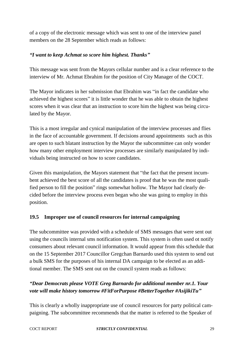of a copy of the electronic message which was sent to one of the interview panel members on the 28 September which reads as follows:

# *"I want to keep Achmat so score him highest. Thanks"*

This message was sent from the Mayors cellular number and is a clear reference to the interview of Mr. Achmat Ebrahim for the position of City Manager of the COCT.

The Mayor indicates in her submission that Ebrahim was "in fact the candidate who achieved the highest scores" it is little wonder that he was able to obtain the highest scores when it was clear that an instruction to score him the highest was being circulated by the Mayor.

This is a most irregular and cynical manipulation of the interview processes and flies in the face of accountable government. If decisions around appointments such as this are open to such blatant instruction by the Mayor the subcommittee can only wonder how many other employment interview processes are similarly manipulated by individuals being instructed on how to score candidates.

Given this manipulation, the Mayors statement that "the fact that the present incumbent achieved the best score of all the candidates is proof that he was the most qualified person to fill the position" rings somewhat hollow. The Mayor had clearly decided before the interview process even began who she was going to employ in this position.

# **19.5 Improper use of council resources for internal campaigning**

The subcommittee was provided with a schedule of SMS messages that were sent out using the councils internal sms notification system. This system is often used ot notify consumers about relevant council information. It would appear from this schedule that on the 15 September 2017 Councillor Gregchan Barnardo used this system to send out a bulk SMS for the purposes of his internal DA campaign to be elected as an additional member. The SMS sent out on the council system reads as follows:

# *"Dear Democrats please VOTE Greg Barnardo for additional member nr.1. Your vote will make history tomorrow #FitForPurpose #BetterTogether #AsijikiTu"*

This is clearly a wholly inappropriate use of council resources for party political campaigning. The subcommittee recommends that the matter is referred to the Speaker of